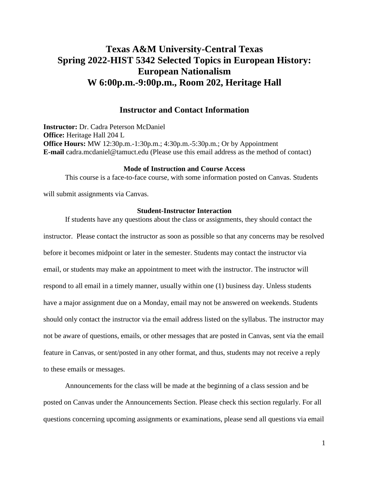# **Texas A&M University-Central Texas Spring 2022-HIST 5342 Selected Topics in European History: European Nationalism W 6:00p.m.-9:00p.m., Room 202, Heritage Hall**

# **Instructor and Contact Information**

**Instructor:** Dr. Cadra Peterson McDaniel **Office:** Heritage Hall 204 L **Office Hours:** MW 12:30p.m.-1:30p.m.; 4:30p.m.-5:30p.m.; Or by Appointment **E-mail** cadra.mcdaniel@tamuct.edu (Please use this email address as the method of contact)

## **Mode of Instruction and Course Access**

This course is a face-to-face course, with some information posted on Canvas. Students

will submit assignments via Canvas.

#### **Student-Instructor Interaction**

If students have any questions about the class or assignments, they should contact the instructor. Please contact the instructor as soon as possible so that any concerns may be resolved before it becomes midpoint or later in the semester. Students may contact the instructor via email, or students may make an appointment to meet with the instructor. The instructor will respond to all email in a timely manner, usually within one (1) business day. Unless students have a major assignment due on a Monday, email may not be answered on weekends. Students should only contact the instructor via the email address listed on the syllabus. The instructor may not be aware of questions, emails, or other messages that are posted in Canvas, sent via the email feature in Canvas, or sent/posted in any other format, and thus, students may not receive a reply to these emails or messages.

Announcements for the class will be made at the beginning of a class session and be posted on Canvas under the Announcements Section. Please check this section regularly. For all questions concerning upcoming assignments or examinations, please send all questions via email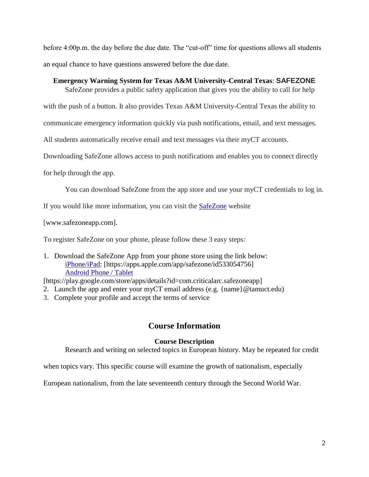before 4:00p.m. the day before the due date. The "cut-off" time for questions allows all students an equal chance to have questions answered before the due date.

## **Emergency Warning System for Texas A&M University-Central Texas**: **SAFEZONE**

SafeZone provides a public safety application that gives you the ability to call for help

with the push of a button. It also provides Texas A&M University-Central Texas the ability to

communicate emergency information quickly via push notifications, email, and text messages.

All students automatically receive email and text messages via their myCT accounts.

Downloading SafeZone allows access to push notifications and enables you to connect directly

for help through the app.

You can download SafeZone from the app store and use your myCT credentials to log in.

If you would like more information, you can visit the [SafeZone](http://www.safezoneapp.com/) website

[www.safezoneapp.com].

To register SafeZone on your phone, please follow these 3 easy steps*:*

1. Download the SafeZone App from your phone store using the link below: [iPhone/iPad:](https://apps.apple.com/app/safezone/id533054756) [https://apps.apple.com/app/safezone/id533054756] [Android Phone / Tablet](https://play.google.com/store/apps/details?id=com.criticalarc.safezoneapp)

[https://play.google.com/store/apps/details?id=com.criticalarc.safezoneapp]

- 2. Launch the app and enter your myCT email address (e.g. {name}@tamuct.edu)
- 3. Complete your profile and accept the terms of service

# **Course Information**

## **Course Description**

Research and writing on selected topics in European history. May be repeated for credit

when topics vary. This specific course will examine the growth of nationalism, especially

European nationalism, from the late seventeenth century through the Second World War.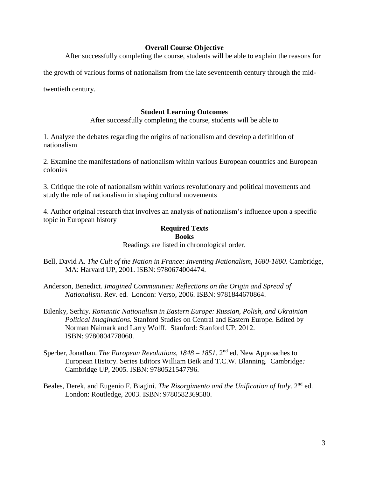## **Overall Course Objective**

After successfully completing the course, students will be able to explain the reasons for

the growth of various forms of nationalism from the late seventeenth century through the mid-

twentieth century.

## **Student Learning Outcomes**

After successfully completing the course, students will be able to

1. Analyze the debates regarding the origins of nationalism and develop a definition of nationalism

2. Examine the manifestations of nationalism within various European countries and European colonies

3. Critique the role of nationalism within various revolutionary and political movements and study the role of nationalism in shaping cultural movements

4. Author original research that involves an analysis of nationalism's influence upon a specific topic in European history

# **Required Texts Books**

Readings are listed in chronological order.

- Bell, David A. *The Cult of the Nation in France: Inventing Nationalism, 1680-1800*. Cambridge, MA: Harvard UP, 2001. ISBN: 9780674004474.
- Anderson, Benedict. *Imagined Communities: Reflections on the Origin and Spread of Nationalism.* Rev. ed. London: Verso, 2006. ISBN: 9781844670864.
- Bilenky, Serhiy. *Romantic Nationalism in Eastern Europe: Russian, Polish, and Ukrainian Political Imaginations.* Stanford Studies on Central and Eastern Europe. Edited by Norman Naimark and Larry Wolff. Stanford: Stanford UP, 2012. ISBN: 9780804778060.
- Sperber, Jonathan. *The European Revolutions, 1848 1851*. 2<sup>nd</sup> ed. New Approaches to European History. Series Editors William Beik and T.C.W. Blanning. Cambridge*:* Cambridge UP, 2005. ISBN: 9780521547796.
- Beales, Derek, and Eugenio F. Biagini. *The Risorgimento and the Unification of Italy*. 2<sup>nd</sup> ed. London: Routledge, 2003. ISBN: 9780582369580.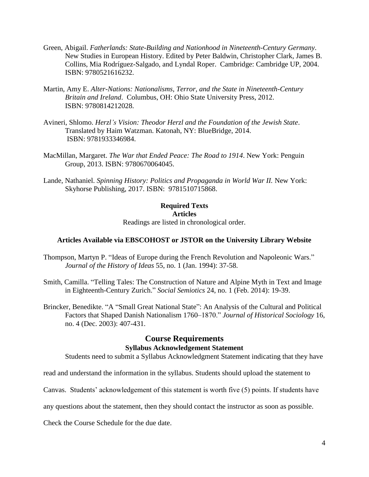- Green, Abigail. *Fatherlands: State-Building and Nationhood in Nineteenth-Century Germany*. New Studies in European History. Edited by Peter Baldwin, Christopher Clark, James B. Collins, Mia Rodríguez-Salgado, and Lyndal Roper. Cambridge: Cambridge UP, 2004. ISBN: 9780521616232.
- Martin, Amy E. *Alter-Nations: Nationalisms, Terror, and the State in Nineteenth-Century Britain and Ireland*. Columbus, OH: Ohio State University Press, 2012. ISBN: 9780814212028.
- Avineri, Shlomo. *Herzl's Vision: Theodor Herzl and the Foundation of the Jewish State*. Translated by Haim Watzman. Katonah, NY: BlueBridge, 2014. ISBN: 9781933346984.
- MacMillan, Margaret. *The War that Ended Peace: The Road to 1914*. New York: Penguin Group, 2013. ISBN: 9780670064045.
- Lande, Nathaniel. *Spinning History: Politics and Propaganda in World War II.* New York: Skyhorse Publishing, 2017. ISBN: 9781510715868.

# **Required Texts Articles**  Readings are listed in chronological order.

## **Articles Available via EBSCOHOST or JSTOR on the University Library Website**

- [Thompson,](javascript:__doLinkPostBack() Martyn P. "Ideas of Europe during the French Revolution and Napoleonic Wars." *[Journal](javascript:__doLinkPostBack() of the History of Ideas* 55, no. 1 (Jan. 1994): 37-58.
- Smith, Camilla. "Telling Tales: The Construction of Nature and Alpine Myth in Text and Image in Eighteenth-Century Zurich." *Social [Semiotics](javascript:__doLinkPostBack()* 24, no. 1 (Feb. 2014): 19-39.
- Brincker, [Benedikte.](javascript:__doLinkPostBack() "A "Small Great National State": An Analysis of the Cultural and Political Factors that Shaped Danish Nationalism 1760–1870." *Journal of [Historical](javascript:__doLinkPostBack() Sociology* 16, no. 4 (Dec. 2003): 407-431.

# **Course Requirements Syllabus Acknowledgement Statement**

Students need to submit a Syllabus Acknowledgment Statement indicating that they have

read and understand the information in the syllabus. Students should upload the statement to

Canvas. Students' acknowledgement of this statement is worth five (5) points. If students have

any questions about the statement, then they should contact the instructor as soon as possible.

Check the Course Schedule for the due date.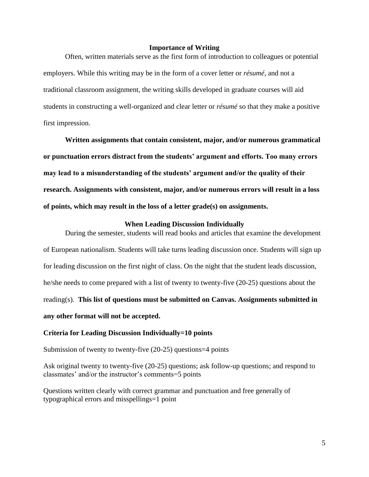#### **Importance of Writing**

Often, written materials serve as the first form of introduction to colleagues or potential employers. While this writing may be in the form of a cover letter or *résumé*, and not a traditional classroom assignment, the writing skills developed in graduate courses will aid students in constructing a well-organized and clear letter or *résumé* so that they make a positive first impression.

**Written assignments that contain consistent, major, and/or numerous grammatical or punctuation errors distract from the students' argument and efforts. Too many errors may lead to a misunderstanding of the students' argument and/or the quality of their research. Assignments with consistent, major, and/or numerous errors will result in a loss of points, which may result in the loss of a letter grade(s) on assignments.** 

#### **When Leading Discussion Individually**

During the semester, students will read books and articles that examine the development of European nationalism. Students will take turns leading discussion once. Students will sign up for leading discussion on the first night of class. On the night that the student leads discussion, he/she needs to come prepared with a list of twenty to twenty-five (20-25) questions about the reading(s). **This list of questions must be submitted on Canvas. Assignments submitted in any other format will not be accepted.** 

#### **Criteria for Leading Discussion Individually=10 points**

Submission of twenty to twenty-five (20-25) questions=4 points

Ask original twenty to twenty-five (20-25) questions; ask follow-up questions; and respond to classmates' and/or the instructor's comments=5 points

Questions written clearly with correct grammar and punctuation and free generally of typographical errors and misspellings=1 point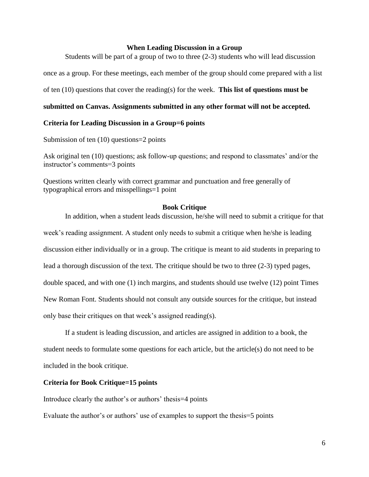#### **When Leading Discussion in a Group**

Students will be part of a group of two to three (2-3) students who will lead discussion

once as a group. For these meetings, each member of the group should come prepared with a list

of ten (10) questions that cover the reading(s) for the week. **This list of questions must be** 

#### **submitted on Canvas. Assignments submitted in any other format will not be accepted.**

#### **Criteria for Leading Discussion in a Group=6 points**

Submission of ten (10) questions=2 points

Ask original ten (10) questions; ask follow-up questions; and respond to classmates' and/or the instructor's comments=3 points

Questions written clearly with correct grammar and punctuation and free generally of typographical errors and misspellings=1 point

## **Book Critique**

In addition, when a student leads discussion, he/she will need to submit a critique for that week's reading assignment. A student only needs to submit a critique when he/she is leading discussion either individually or in a group. The critique is meant to aid students in preparing to lead a thorough discussion of the text. The critique should be two to three (2-3) typed pages, double spaced, and with one (1) inch margins, and students should use twelve (12) point Times New Roman Font. Students should not consult any outside sources for the critique, but instead only base their critiques on that week's assigned reading(s).

If a student is leading discussion, and articles are assigned in addition to a book, the student needs to formulate some questions for each article, but the article(s) do not need to be included in the book critique.

## **Criteria for Book Critique=15 points**

Introduce clearly the author's or authors' thesis=4 points

Evaluate the author's or authors' use of examples to support the thesis=5 points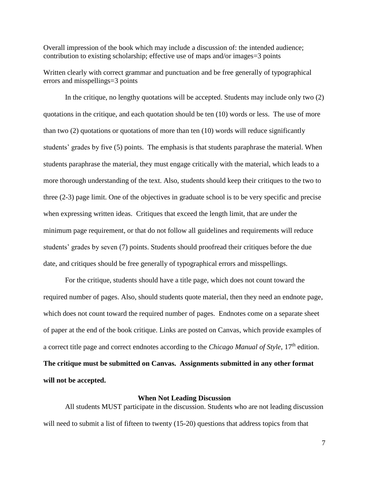Overall impression of the book which may include a discussion of: the intended audience; contribution to existing scholarship; effective use of maps and/or images=3 points

Written clearly with correct grammar and punctuation and be free generally of typographical errors and misspellings=3 points

In the critique, no lengthy quotations will be accepted. Students may include only two (2) quotations in the critique, and each quotation should be ten (10) words or less. The use of more than two (2) quotations or quotations of more than ten (10) words will reduce significantly students' grades by five (5) points. The emphasis is that students paraphrase the material. When students paraphrase the material, they must engage critically with the material, which leads to a more thorough understanding of the text. Also, students should keep their critiques to the two to three (2-3) page limit. One of the objectives in graduate school is to be very specific and precise when expressing written ideas. Critiques that exceed the length limit, that are under the minimum page requirement, or that do not follow all guidelines and requirements will reduce students' grades by seven (7) points. Students should proofread their critiques before the due date, and critiques should be free generally of typographical errors and misspellings.

For the critique, students should have a title page, which does not count toward the required number of pages. Also, should students quote material, then they need an endnote page, which does not count toward the required number of pages. Endnotes come on a separate sheet of paper at the end of the book critique. Links are posted on Canvas, which provide examples of a correct title page and correct endnotes according to the *Chicago Manual of Style*, 17<sup>th</sup> edition. **The critique must be submitted on Canvas. Assignments submitted in any other format will not be accepted.** 

## **When Not Leading Discussion**

All students MUST participate in the discussion. Students who are not leading discussion will need to submit a list of fifteen to twenty (15-20) questions that address topics from that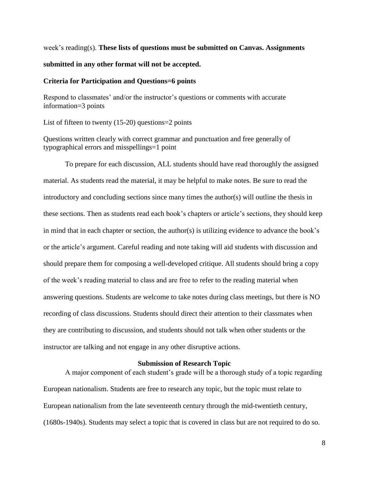week's reading(s). **These lists of questions must be submitted on Canvas. Assignments** 

**submitted in any other format will not be accepted.** 

#### **Criteria for Participation and Questions=6 points**

Respond to classmates' and/or the instructor's questions or comments with accurate information=3 points

List of fifteen to twenty (15-20) questions=2 points

Questions written clearly with correct grammar and punctuation and free generally of typographical errors and misspellings=1 point

To prepare for each discussion, ALL students should have read thoroughly the assigned material. As students read the material, it may be helpful to make notes. Be sure to read the introductory and concluding sections since many times the author(s) will outline the thesis in these sections. Then as students read each book's chapters or article's sections, they should keep in mind that in each chapter or section, the author(s) is utilizing evidence to advance the book's or the article's argument. Careful reading and note taking will aid students with discussion and should prepare them for composing a well-developed critique. All students should bring a copy of the week's reading material to class and are free to refer to the reading material when answering questions. Students are welcome to take notes during class meetings, but there is NO recording of class discussions. Students should direct their attention to their classmates when they are contributing to discussion, and students should not talk when other students or the instructor are talking and not engage in any other disruptive actions.

#### **Submission of Research Topic**

A major component of each student's grade will be a thorough study of a topic regarding European nationalism. Students are free to research any topic, but the topic must relate to European nationalism from the late seventeenth century through the mid-twentieth century, (1680s-1940s). Students may select a topic that is covered in class but are not required to do so.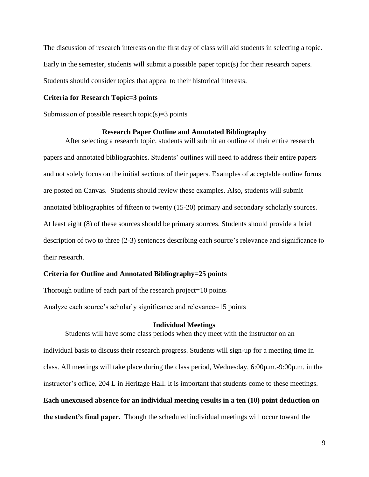The discussion of research interests on the first day of class will aid students in selecting a topic. Early in the semester, students will submit a possible paper topic(s) for their research papers. Students should consider topics that appeal to their historical interests.

### **Criteria for Research Topic=3 points**

Submission of possible research topic(s)=3 points

## **Research Paper Outline and Annotated Bibliography**

After selecting a research topic, students will submit an outline of their entire research papers and annotated bibliographies. Students' outlines will need to address their entire papers and not solely focus on the initial sections of their papers. Examples of acceptable outline forms are posted on Canvas. Students should review these examples. Also, students will submit annotated bibliographies of fifteen to twenty (15-20) primary and secondary scholarly sources. At least eight (8) of these sources should be primary sources. Students should provide a brief description of two to three (2-3) sentences describing each source's relevance and significance to their research.

#### **Criteria for Outline and Annotated Bibliography=25 points**

Thorough outline of each part of the research project=10 points Analyze each source's scholarly significance and relevance=15 points

#### **Individual Meetings**

Students will have some class periods when they meet with the instructor on an individual basis to discuss their research progress. Students will sign-up for a meeting time in class. All meetings will take place during the class period, Wednesday, 6:00p.m.-9:00p.m. in the instructor's office, 204 L in Heritage Hall. It is important that students come to these meetings. **Each unexcused absence for an individual meeting results in a ten (10) point deduction on the student's final paper.** Though the scheduled individual meetings will occur toward the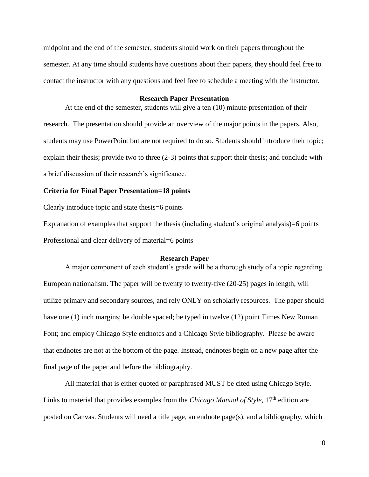midpoint and the end of the semester, students should work on their papers throughout the semester. At any time should students have questions about their papers, they should feel free to contact the instructor with any questions and feel free to schedule a meeting with the instructor.

#### **Research Paper Presentation**

At the end of the semester, students will give a ten (10) minute presentation of their research. The presentation should provide an overview of the major points in the papers. Also, students may use PowerPoint but are not required to do so. Students should introduce their topic; explain their thesis; provide two to three (2-3) points that support their thesis; and conclude with a brief discussion of their research's significance.

#### **Criteria for Final Paper Presentation=18 points**

Clearly introduce topic and state thesis=6 points

Explanation of examples that support the thesis (including student's original analysis)=6 points Professional and clear delivery of material=6 points

## **Research Paper**

A major component of each student's grade will be a thorough study of a topic regarding European nationalism. The paper will be twenty to twenty-five (20-25) pages in length, will utilize primary and secondary sources, and rely ONLY on scholarly resources. The paper should have one (1) inch margins; be double spaced; be typed in twelve (12) point Times New Roman Font; and employ Chicago Style endnotes and a Chicago Style bibliography. Please be aware that endnotes are not at the bottom of the page. Instead, endnotes begin on a new page after the final page of the paper and before the bibliography.

All material that is either quoted or paraphrased MUST be cited using Chicago Style. Links to material that provides examples from the *Chicago Manual of Style*, 17<sup>th</sup> edition are posted on Canvas. Students will need a title page, an endnote page(s), and a bibliography, which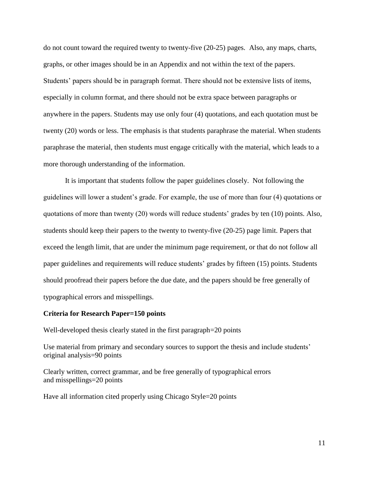do not count toward the required twenty to twenty-five (20-25) pages. Also, any maps, charts, graphs, or other images should be in an Appendix and not within the text of the papers. Students' papers should be in paragraph format. There should not be extensive lists of items, especially in column format, and there should not be extra space between paragraphs or anywhere in the papers. Students may use only four (4) quotations, and each quotation must be twenty (20) words or less. The emphasis is that students paraphrase the material. When students paraphrase the material, then students must engage critically with the material, which leads to a more thorough understanding of the information.

It is important that students follow the paper guidelines closely. Not following the guidelines will lower a student's grade. For example, the use of more than four (4) quotations or quotations of more than twenty (20) words will reduce students' grades by ten (10) points. Also, students should keep their papers to the twenty to twenty-five (20-25) page limit. Papers that exceed the length limit, that are under the minimum page requirement, or that do not follow all paper guidelines and requirements will reduce students' grades by fifteen (15) points. Students should proofread their papers before the due date, and the papers should be free generally of typographical errors and misspellings.

### **Criteria for Research Paper=150 points**

Well-developed thesis clearly stated in the first paragraph=20 points

Use material from primary and secondary sources to support the thesis and include students' original analysis=90 points

Clearly written, correct grammar, and be free generally of typographical errors and misspellings=20 points

Have all information cited properly using Chicago Style=20 points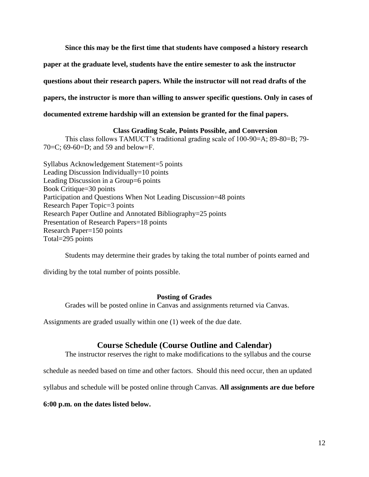**Since this may be the first time that students have composed a history research** 

**paper at the graduate level, students have the entire semester to ask the instructor** 

**questions about their research papers. While the instructor will not read drafts of the** 

**papers, the instructor is more than willing to answer specific questions. Only in cases of** 

**documented extreme hardship will an extension be granted for the final papers.**

## **Class Grading Scale, Points Possible, and Conversion**

This class follows TAMUCT's traditional grading scale of 100-90=A; 89-80=B; 79- 70=C; 69-60=D; and 59 and below=F.

Syllabus Acknowledgement Statement=5 points Leading Discussion Individually=10 points Leading Discussion in a Group=6 points Book Critique=30 points Participation and Questions When Not Leading Discussion=48 points Research Paper Topic=3 points Research Paper Outline and Annotated Bibliography=25 points Presentation of Research Papers=18 points Research Paper=150 points Total=295 points

Students may determine their grades by taking the total number of points earned and

dividing by the total number of points possible.

# **Posting of Grades**

Grades will be posted online in Canvas and assignments returned via Canvas.

Assignments are graded usually within one (1) week of the due date.

# **Course Schedule (Course Outline and Calendar)**

The instructor reserves the right to make modifications to the syllabus and the course

schedule as needed based on time and other factors. Should this need occur, then an updated

syllabus and schedule will be posted online through Canvas. **All assignments are due before** 

**6:00 p.m. on the dates listed below.**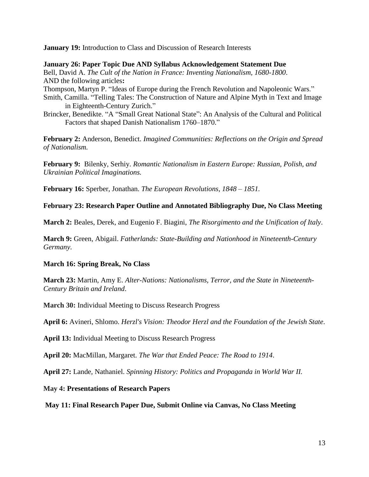**January 19:** Introduction to Class and Discussion of Research Interests

## **January 26: Paper Topic Due AND Syllabus Acknowledgement Statement Due**

Bell, David A. *The Cult of the Nation in France: Inventing Nationalism, 1680-1800*. AND the following articles**:** 

[Thompson,](javascript:__doLinkPostBack() Martyn P. "Ideas of Europe during the French Revolution and Napoleonic Wars."

- Smith, Camilla. "Telling Tales: The Construction of Nature and Alpine Myth in Text and Image in Eighteenth-Century Zurich."
- Brincker, [Benedikte.](javascript:__doLinkPostBack() "A "Small Great National State": An Analysis of the Cultural and Political Factors that shaped Danish Nationalism 1760–1870."

**February 2:** Anderson, Benedict. *Imagined Communities: Reflections on the Origin and Spread of Nationalism.* 

**February 9:** Bilenky, Serhiy. *Romantic Nationalism in Eastern Europe: Russian, Polish, and Ukrainian Political Imaginations.* 

**February 16:** Sperber, Jonathan. *The European Revolutions, 1848 – 1851.* 

## **February 23: Research Paper Outline and Annotated Bibliography Due, No Class Meeting**

**March 2:** Beales, Derek, and Eugenio F. Biagini, *The Risorgimento and the Unification of Italy*.

**March 9:** Green, Abigail. *Fatherlands: State-Building and Nationhood in Nineteenth-Century Germany*.

## **March 16: Spring Break, No Class**

**March 23:** Martin, Amy E. *Alter-Nations: Nationalisms, Terror, and the State in Nineteenth-Century Britain and Ireland*.

**March 30:** Individual Meeting to Discuss Research Progress

**April 6:** Avineri, Shlomo. *Herzl's Vision: Theodor Herzl and the Foundation of the Jewish State*.

**April 13:** Individual Meeting to Discuss Research Progress

**April 20:** MacMillan, Margaret. *The War that Ended Peace: The Road to 1914*.

**April 27:** Lande, Nathaniel. *Spinning History: Politics and Propaganda in World War II.* 

## **May 4: Presentations of Research Papers**

**May 11: Final Research Paper Due, Submit Online via Canvas, No Class Meeting**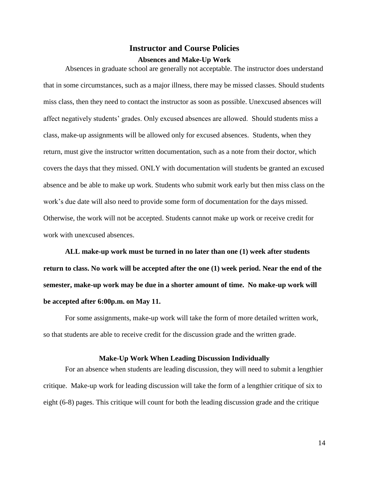# **Instructor and Course Policies**

#### **Absences and Make-Up Work**

Absences in graduate school are generally not acceptable. The instructor does understand that in some circumstances, such as a major illness, there may be missed classes. Should students miss class, then they need to contact the instructor as soon as possible. Unexcused absences will affect negatively students' grades. Only excused absences are allowed. Should students miss a class, make-up assignments will be allowed only for excused absences. Students, when they return, must give the instructor written documentation, such as a note from their doctor, which covers the days that they missed. ONLY with documentation will students be granted an excused absence and be able to make up work. Students who submit work early but then miss class on the work's due date will also need to provide some form of documentation for the days missed. Otherwise, the work will not be accepted. Students cannot make up work or receive credit for work with unexcused absences.

**ALL make-up work must be turned in no later than one (1) week after students return to class. No work will be accepted after the one (1) week period. Near the end of the semester, make-up work may be due in a shorter amount of time. No make-up work will be accepted after 6:00p.m. on May 11.** 

For some assignments, make-up work will take the form of more detailed written work, so that students are able to receive credit for the discussion grade and the written grade.

## **Make-Up Work When Leading Discussion Individually**

For an absence when students are leading discussion, they will need to submit a lengthier critique. Make-up work for leading discussion will take the form of a lengthier critique of six to eight (6-8) pages. This critique will count for both the leading discussion grade and the critique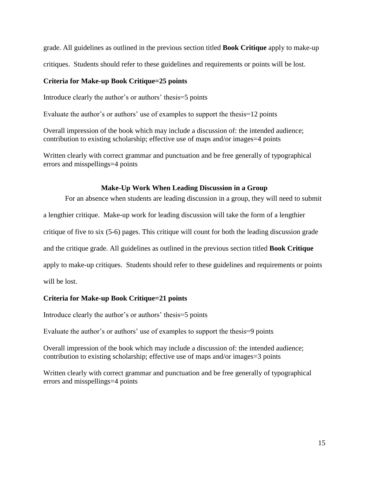grade. All guidelines as outlined in the previous section titled **Book Critique** apply to make-up

critiques. Students should refer to these guidelines and requirements or points will be lost.

# **Criteria for Make-up Book Critique=25 points**

Introduce clearly the author's or authors' thesis=5 points

Evaluate the author's or authors' use of examples to support the thesis=12 points

Overall impression of the book which may include a discussion of: the intended audience; contribution to existing scholarship; effective use of maps and/or images=4 points

Written clearly with correct grammar and punctuation and be free generally of typographical errors and misspellings=4 points

# **Make-Up Work When Leading Discussion in a Group**

For an absence when students are leading discussion in a group, they will need to submit

a lengthier critique. Make-up work for leading discussion will take the form of a lengthier

critique of five to six (5-6) pages. This critique will count for both the leading discussion grade

and the critique grade. All guidelines as outlined in the previous section titled **Book Critique**

apply to make-up critiques. Students should refer to these guidelines and requirements or points

will be lost.

# **Criteria for Make-up Book Critique=21 points**

Introduce clearly the author's or authors' thesis=5 points

Evaluate the author's or authors' use of examples to support the thesis=9 points

Overall impression of the book which may include a discussion of: the intended audience; contribution to existing scholarship; effective use of maps and/or images=3 points

Written clearly with correct grammar and punctuation and be free generally of typographical errors and misspellings=4 points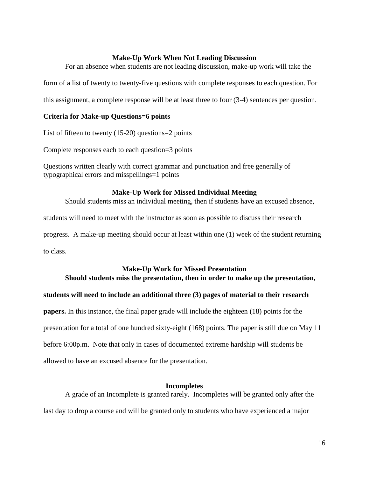## **Make-Up Work When Not Leading Discussion**

For an absence when students are not leading discussion, make-up work will take the

form of a list of twenty to twenty-five questions with complete responses to each question. For

this assignment, a complete response will be at least three to four (3-4) sentences per question.

## **Criteria for Make-up Questions=6 points**

List of fifteen to twenty (15-20) questions=2 points

Complete responses each to each question=3 points

Questions written clearly with correct grammar and punctuation and free generally of typographical errors and misspellings=1 points

## **Make-Up Work for Missed Individual Meeting**

Should students miss an individual meeting, then if students have an excused absence,

students will need to meet with the instructor as soon as possible to discuss their research progress. A make-up meeting should occur at least within one (1) week of the student returning to class.

# **Make-Up Work for Missed Presentation Should students miss the presentation, then in order to make up the presentation,**

# **students will need to include an additional three (3) pages of material to their research**

**papers.** In this instance, the final paper grade will include the eighteen (18) points for the presentation for a total of one hundred sixty-eight (168) points. The paper is still due on May 11 before 6:00p.m.Note that only in cases of documented extreme hardship will students be allowed to have an excused absence for the presentation.

## **Incompletes**

A grade of an Incomplete is granted rarely. Incompletes will be granted only after the last day to drop a course and will be granted only to students who have experienced a major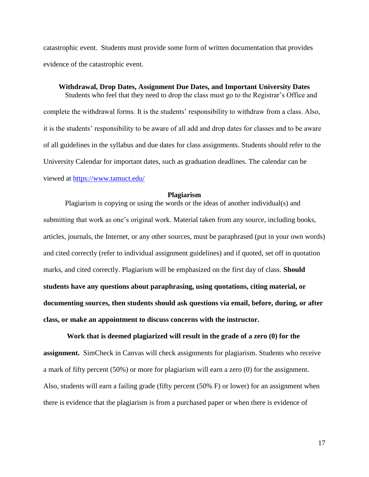catastrophic event. Students must provide some form of written documentation that provides evidence of the catastrophic event.

**Withdrawal, Drop Dates, Assignment Due Dates, and Important University Dates**

Students who feel that they need to drop the class must go to the Registrar's Office and complete the withdrawal forms. It is the students' responsibility to withdraw from a class. Also, it is the students' responsibility to be aware of all add and drop dates for classes and to be aware of all guidelines in the syllabus and due dates for class assignments. Students should refer to the University Calendar for important dates, such as graduation deadlines. The calendar can be viewed at<https://www.tamuct.edu/>

#### **Plagiarism**

Plagiarism is copying or using the words or the ideas of another individual(s) and submitting that work as one's original work. Material taken from any source, including books, articles, journals, the Internet, or any other sources, must be paraphrased (put in your own words) and cited correctly (refer to individual assignment guidelines) and if quoted, set off in quotation marks, and cited correctly. Plagiarism will be emphasized on the first day of class. **Should students have any questions about paraphrasing, using quotations, citing material, or documenting sources, then students should ask questions via email, before, during, or after class, or make an appointment to discuss concerns with the instructor.** 

**Work that is deemed plagiarized will result in the grade of a zero (0) for the assignment.** SimCheck in Canvas will check assignments for plagiarism. Students who receive a mark of fifty percent (50%) or more for plagiarism will earn a zero (0) for the assignment. Also, students will earn a failing grade (fifty percent (50% F) or lower) for an assignment when there is evidence that the plagiarism is from a purchased paper or when there is evidence of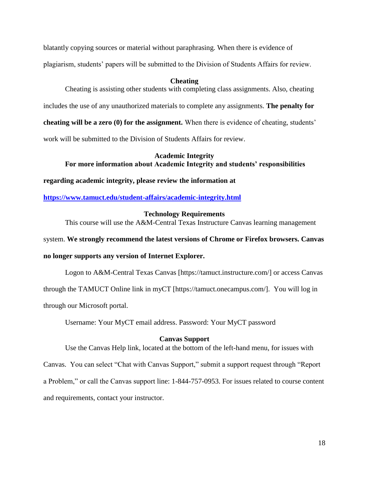blatantly copying sources or material without paraphrasing. When there is evidence of plagiarism, students' papers will be submitted to the Division of Students Affairs for review.

## **Cheating**

Cheating is assisting other students with completing class assignments. Also, cheating includes the use of any unauthorized materials to complete any assignments. **The penalty for cheating will be a zero (0) for the assignment.** When there is evidence of cheating, students' work will be submitted to the Division of Students Affairs for review.

# **Academic Integrity For more information about Academic Integrity and students' responsibilities**

## **regarding academic integrity, please review the information at**

**<https://www.tamuct.edu/student-affairs/academic-integrity.html>**

## **Technology Requirements**

This course will use the A&M-Central Texas Instructure Canvas learning management

# system. **We strongly recommend the latest versions of Chrome or Firefox browsers. Canvas**

## **no longer supports any version of Internet Explorer.**

Logon to A&M-Central Texas Canvas [https://tamuct.instructure.com/] or access Canvas through the TAMUCT Online link in myCT [https://tamuct.onecampus.com/]. You will log in through our Microsoft portal.

Username: Your MyCT email address. Password: Your MyCT password

## **Canvas Support**

Use the Canvas Help link, located at the bottom of the left-hand menu, for issues with

Canvas. You can select "Chat with Canvas Support," submit a support request through "Report

a Problem," or call the Canvas support line: 1-844-757-0953. For issues related to course content

and requirements, contact your instructor.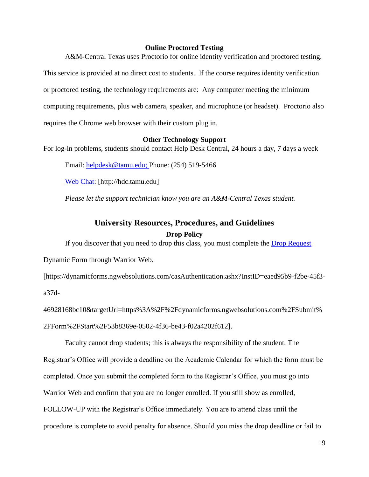#### **Online Proctored Testing**

A&M-Central Texas uses Proctorio for online identity verification and proctored testing.

This service is provided at no direct cost to students. If the course requires identity verification or proctored testing, the technology requirements are: Any computer meeting the minimum computing requirements, plus web camera, speaker, and microphone (or headset). Proctorio also requires the Chrome web browser with their custom plug in.

## **Other Technology Support**

For log-in problems, students should contact Help Desk Central, 24 hours a day, 7 days a week

Email: [helpdesk@tamu.edu;](mailto:helpdesk@tamu.edu) Phone: (254) 519-5466

[Web Chat:](http://hdc.tamu.edu/) [http://hdc.tamu.edu]

*Please let the support technician know you are an A&M-Central Texas student.*

# **University Resources, Procedures, and Guidelines Drop Policy**

If you discover that you need to drop this class, you must complete the [Drop Request](https://dynamicforms.ngwebsolutions.com/casAuthentication.ashx?InstID=eaed95b9-f2be-45f3-a37d-46928168bc10&targetUrl=https%3A%2F%2Fdynamicforms.ngwebsolutions.com%2FSubmit%2FForm%2FStart%2F53b8369e-0502-4f36-be43-f02a4202f612)

Dynamic Form through Warrior Web.

[https://dynamicforms.ngwebsolutions.com/casAuthentication.ashx?InstID=eaed95b9-f2be-45f3 a37d-

46928168bc10&targetUrl=https%3A%2F%2Fdynamicforms.ngwebsolutions.com%2FSubmit% 2FForm%2FStart%2F53b8369e-0502-4f36-be43-f02a4202f612].

Faculty cannot drop students; this is always the responsibility of the student. The Registrar's Office will provide a deadline on the Academic Calendar for which the form must be completed. Once you submit the completed form to the Registrar's Office, you must go into Warrior Web and confirm that you are no longer enrolled. If you still show as enrolled, FOLLOW-UP with the Registrar's Office immediately. You are to attend class until the procedure is complete to avoid penalty for absence. Should you miss the drop deadline or fail to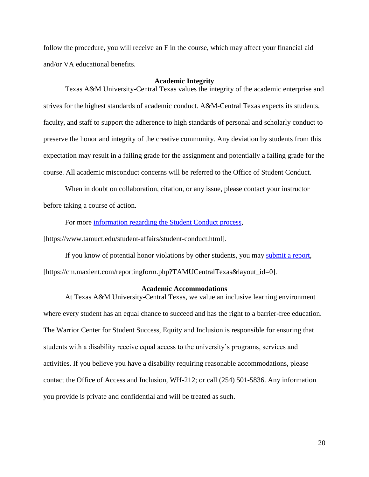follow the procedure, you will receive an F in the course, which may affect your financial aid and/or VA educational benefits.

#### **Academic Integrity**

Texas A&M University-Central Texas values the integrity of the academic enterprise and strives for the highest standards of academic conduct. A&M-Central Texas expects its students, faculty, and staff to support the adherence to high standards of personal and scholarly conduct to preserve the honor and integrity of the creative community. Any deviation by students from this expectation may result in a failing grade for the assignment and potentially a failing grade for the course. All academic misconduct concerns will be referred to the Office of Student Conduct.

When in doubt on collaboration, citation, or any issue, please contact your instructor before taking a course of action.

For more [information](https://nam04.safelinks.protection.outlook.com/?url=https%3A%2F%2Fwww.tamuct.edu%2Fstudent-affairs%2Fstudent-conduct.html&data=04%7C01%7Clisa.bunkowski%40tamuct.edu%7Ccfb6e486f24745f53e1a08d910055cb2%7C9eed4e3000f744849ff193ad8005acec%7C0%7C0%7C637558437485252160%7CUnknown%7CTWFpbGZsb3d8eyJWIjoiMC4wLjAwMDAiLCJQIjoiV2luMzIiLCJBTiI6Ik1haWwiLCJXVCI6Mn0%3D%7C1000&sdata=yjftDEVHvLX%2FhM%2FcFU0B99krV1RgEWR%2BJ%2BhvtoR6TYk%3D&reserved=0) regarding the Student Conduct process,

[https://www.tamuct.edu/student-affairs/student-conduct.html].

If you know of potential honor violations by other students, you may [submit](https://nam04.safelinks.protection.outlook.com/?url=https%3A%2F%2Fcm.maxient.com%2Freportingform.php%3FTAMUCentralTexas%26layout_id%3D0&data=04%7C01%7Clisa.bunkowski%40tamuct.edu%7Ccfb6e486f24745f53e1a08d910055cb2%7C9eed4e3000f744849ff193ad8005acec%7C0%7C0%7C637558437485262157%7CUnknown%7CTWFpbGZsb3d8eyJWIjoiMC4wLjAwMDAiLCJQIjoiV2luMzIiLCJBTiI6Ik1haWwiLCJXVCI6Mn0%3D%7C1000&sdata=CXGkOa6uPDPX1IMZ87z3aZDq2n91xfHKu4MMS43Ejjk%3D&reserved=0) a report, [https://cm.maxient.com/reportingform.php?TAMUCentralTexas&layout\_id=0].

#### **Academic Accommodations**

At Texas A&M University-Central Texas, we value an inclusive learning environment where every student has an equal chance to succeed and has the right to a barrier-free education. The Warrior Center for Student Success, Equity and Inclusion is responsible for ensuring that students with a disability receive equal access to the university's programs, services and activities. If you believe you have a disability requiring reasonable accommodations, please contact the Office of Access and Inclusion, WH-212; or call (254) 501-5836. Any information you provide is private and confidential and will be treated as such.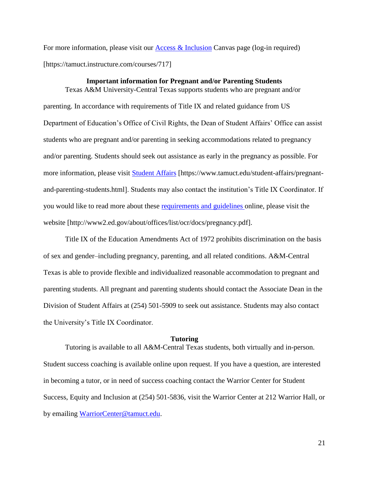For more information, please visit our [Access & Inclusion](https://tamuct.instructure.com/courses/717) Canvas page (log-in required) [https://tamuct.instructure.com/courses/717]

#### **Important information for Pregnant and/or Parenting Students**

Texas A&M University-Central Texas supports students who are pregnant and/or parenting. In accordance with requirements of Title IX and related guidance from US Department of Education's Office of Civil Rights, the Dean of Student Affairs' Office can assist students who are pregnant and/or parenting in seeking accommodations related to pregnancy and/or parenting. Students should seek out assistance as early in the pregnancy as possible. For more information, please visit [Student Affairs](https://www.tamuct.edu/student-affairs/pregnant-and-parenting-students.html) [https://www.tamuct.edu/student-affairs/pregnantand-parenting-students.html]. Students may also contact the institution's Title IX Coordinator. If you would like to read more about these [requirements and guidelines](http://www2.ed.gov/about/offices/list/ocr/docs/pregnancy.pdf) online, please visit the website [http://www2.ed.gov/about/offices/list/ocr/docs/pregnancy.pdf].

Title IX of the Education Amendments Act of 1972 prohibits discrimination on the basis of sex and gender–including pregnancy, parenting, and all related conditions. A&M-Central Texas is able to provide flexible and individualized reasonable accommodation to pregnant and parenting students. All pregnant and parenting students should contact the Associate Dean in the Division of Student Affairs at (254) 501-5909 to seek out assistance. Students may also contact the University's Title IX Coordinator.

#### **Tutoring**

Tutoring is available to all A&M-Central Texas students, both virtually and in-person. Student success coaching is available online upon request. If you have a question, are interested in becoming a tutor, or in need of success coaching contact the Warrior Center for Student Success, Equity and Inclusion at (254) 501-5836, visit the Warrior Center at 212 Warrior Hall, or by emailing [WarriorCenter@tamuct.edu.](mailto:WarriorCenter@tamuct.edu)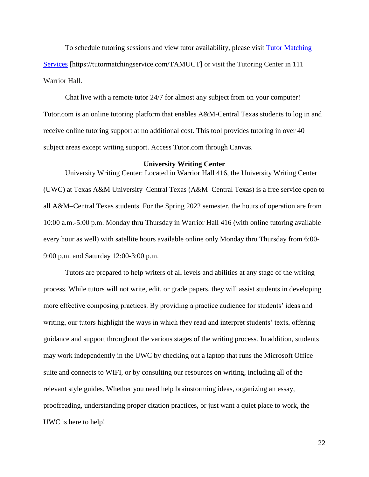To schedule tutoring sessions and view tutor availability, please visit Tutor [Matching](https://tutormatchingservice.com/TAMUCT) [Services](https://tutormatchingservice.com/TAMUCT) [https://tutormatchingservice.com/TAMUCT] or visit the Tutoring Center in 111 Warrior Hall.

Chat live with a remote tutor 24/7 for almost any subject from on your computer! Tutor.com is an online tutoring platform that enables A&M-Central Texas students to log in and receive online tutoring support at no additional cost. This tool provides tutoring in over 40 subject areas except writing support. Access Tutor.com through Canvas.

#### **University Writing Center**

University Writing Center: Located in Warrior Hall 416, the University Writing Center (UWC) at Texas A&M University–Central Texas (A&M–Central Texas) is a free service open to all A&M–Central Texas students. For the Spring 2022 semester, the hours of operation are from 10:00 a.m.-5:00 p.m. Monday thru Thursday in Warrior Hall 416 (with online tutoring available every hour as well) with satellite hours available online only Monday thru Thursday from 6:00- 9:00 p.m. and Saturday 12:00-3:00 p.m.

Tutors are prepared to help writers of all levels and abilities at any stage of the writing process. While tutors will not write, edit, or grade papers, they will assist students in developing more effective composing practices. By providing a practice audience for students' ideas and writing, our tutors highlight the ways in which they read and interpret students' texts, offering guidance and support throughout the various stages of the writing process. In addition, students may work independently in the UWC by checking out a laptop that runs the Microsoft Office suite and connects to WIFI, or by consulting our resources on writing, including all of the relevant style guides. Whether you need help brainstorming ideas, organizing an essay, proofreading, understanding proper citation practices, or just want a quiet place to work, the UWC is here to help!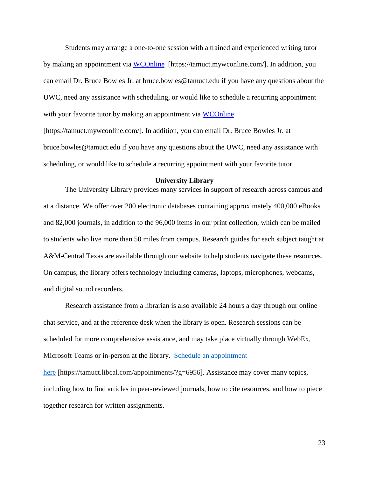Students may arrange a one-to-one session with a trained and experienced writing tutor by making an appointment via [WCOnline](https://tamuct.mywconline.com/) [https://tamuct.mywconline.com/]. In addition, you can email Dr. Bruce Bowles Jr. at bruce.bowles@tamuct.edu if you have any questions about the UWC, need any assistance with scheduling, or would like to schedule a recurring appointment with your favorite tutor by making an appointment via [WCOnline](https://tamuct.mywconline.com/) [https://tamuct.mywconline.com/]. In addition, you can email Dr. Bruce Bowles Jr. at bruce.bowles@tamuct.edu if you have any questions about the UWC, need any assistance with

scheduling, or would like to schedule a recurring appointment with your favorite tutor.

#### **University Library**

The University Library provides many services in support of research across campus and at a distance. We offer over 200 electronic databases containing approximately 400,000 eBooks and 82,000 journals, in addition to the 96,000 items in our print collection, which can be mailed to students who live more than 50 miles from campus. Research guides for each subject taught at A&M-Central Texas are available through our website to help students navigate these resources. On campus, the library offers technology including cameras, laptops, microphones, webcams, and digital sound recorders.

Research assistance from a librarian is also available 24 hours a day through our online chat service, and at the reference desk when the library is open. Research sessions can be scheduled for more comprehensive assistance, and may take place virtually through WebEx, Microsoft Teams or in-person at the library. Schedule an [appointment](https://nam04.safelinks.protection.outlook.com/?url=https%3A%2F%2Ftamuct.libcal.com%2Fappointments%2F%3Fg%3D6956&data=04%7C01%7Clisa.bunkowski%40tamuct.edu%7Cde2c07d9f5804f09518008d9ab7ba6ff%7C9eed4e3000f744849ff193ad8005acec%7C0%7C0%7C637729369835011558%7CUnknown%7CTWFpbGZsb3d8eyJWIjoiMC4wLjAwMDAiLCJQIjoiV2luMzIiLCJBTiI6Ik1haWwiLCJXVCI6Mn0%3D%7C3000&sdata=KhtjgRSAw9aq%2FoBsB6wyu8b7PSuGN5EGPypzr3Ty2No%3D&reserved=0) [here](https://nam04.safelinks.protection.outlook.com/?url=https%3A%2F%2Ftamuct.libcal.com%2Fappointments%2F%3Fg%3D6956&data=04%7C01%7Clisa.bunkowski%40tamuct.edu%7Cde2c07d9f5804f09518008d9ab7ba6ff%7C9eed4e3000f744849ff193ad8005acec%7C0%7C0%7C637729369835011558%7CUnknown%7CTWFpbGZsb3d8eyJWIjoiMC4wLjAwMDAiLCJQIjoiV2luMzIiLCJBTiI6Ik1haWwiLCJXVCI6Mn0%3D%7C3000&sdata=KhtjgRSAw9aq%2FoBsB6wyu8b7PSuGN5EGPypzr3Ty2No%3D&reserved=0) [https://tamuct.libcal.com/appointments/?g=6956]. Assistance may cover many topics, including how to find articles in peer-reviewed journals, how to cite resources, and how to piece together research for written assignments.